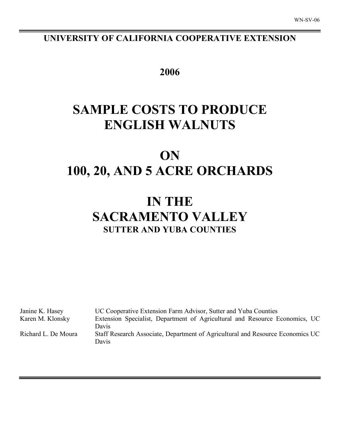# **UNIVERSITY OF CALIFORNIA COOPERATIVE EXTENSION**

**2006**

# **SAMPLE COSTS TO PRODUCE ENGLISH WALNUTS**

# **ON 100, 20, AND 5 ACRE ORCHARDS**

# **IN THE SACRAMENTO VALLEY SUTTER AND YUBA COUNTIES**

| UC Cooperative Extension Farm Advisor, Sutter and Yuba Counties<br>Janine K. Hasey |                                                                                         |  |  |  |  |  |  |  |
|------------------------------------------------------------------------------------|-----------------------------------------------------------------------------------------|--|--|--|--|--|--|--|
| Karen M. Klonsky                                                                   | Extension Specialist, Department of Agricultural and Resource Economics, UC             |  |  |  |  |  |  |  |
|                                                                                    | Davis                                                                                   |  |  |  |  |  |  |  |
| Richard L. De Moura                                                                | Staff Research Associate, Department of Agricultural and Resource Economics UC<br>Davis |  |  |  |  |  |  |  |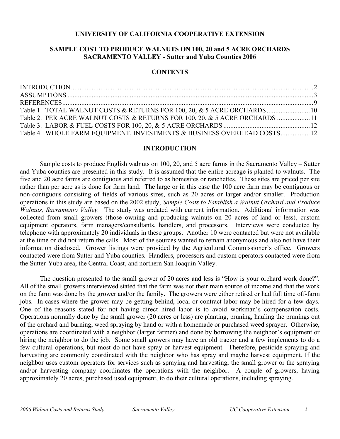### **UNIVERSITY OF CALIFORNIA COOPERATIVE EXTENSION**

# **SAMPLE COST TO PRODUCE WALNUTS ON 100, 20 and 5 ACRE ORCHARDS SACRAMENTO VALLEY - Sutter and Yuba Counties 2006**

### **CONTENTS**

| Table 1. TOTAL WALNUT COSTS & RETURNS FOR 100, 20, & 5 ACRE ORCHARDS 10     |  |
|-----------------------------------------------------------------------------|--|
| Table 2. PER ACRE WALNUT COSTS & RETURNS FOR 100, 20, & 5 ACRE ORCHARDS  11 |  |
|                                                                             |  |
| Table 4. WHOLE FARM EQUIPMENT, INVESTMENTS & BUSINESS OVERHEAD COSTS 12     |  |

#### **INTRODUCTION**

Sample costs to produce English walnuts on 100, 20, and 5 acre farms in the Sacramento Valley – Sutter and Yuba counties are presented in this study. It is assumed that the entire acreage is planted to walnuts. The five and 20 acre farms are contiguous and referred to as homesites or ranchettes. These sites are priced per site rather than per acre as is done for farm land. The large or in this case the 100 acre farm may be contiguous or non-contiguous consisting of fields of various sizes, such as 20 acres or larger and/or smaller. Production operations in this study are based on the 2002 study, *Sample Costs to Establish a Walnut Orchard and Produce Walnuts, Sacramento Valley.* The study was updated with current information. Additional information was collected from small growers (those owning and producing walnuts on 20 acres of land or less), custom equipment operators, farm managers/consultants, handlers, and processors. Interviews were conducted by telephone with approximately 20 individuals in these groups. Another 10 were contacted but were not available at the time or did not return the calls. Most of the sources wanted to remain anonymous and also not have their information disclosed. Grower listings were provided by the Agricultural Commissioner's office. Growers contacted were from Sutter and Yuba counties. Handlers, processors and custom operators contacted were from the Sutter-Yuba area, the Central Coast, and northern San Joaquin Valley.

The question presented to the small grower of 20 acres and less is "How is your orchard work done?". All of the small growers interviewed stated that the farm was not their main source of income and that the work on the farm was done by the grower and/or the family. The growers were either retired or had full time off-farm jobs. In cases where the grower may be getting behind, local or contract labor may be hired for a few days. One of the reasons stated for not having direct hired labor is to avoid workman's compensation costs. Operations normally done by the small grower (20 acres or less) are planting, pruning, hauling the prunings out of the orchard and burning, weed spraying by hand or with a homemade or purchased weed sprayer. Otherwise, operations are coordinated with a neighbor (larger farmer) and done by borrowing the neighbor's equipment or hiring the neighbor to do the job. Some small growers may have an old tractor and a few implements to do a few cultural operations, but most do not have spray or harvest equipment. Therefore, pesticide spraying and harvesting are commonly coordinated with the neighbor who has spray and maybe harvest equipment. If the neighbor uses custom operators for services such as spraying and harvesting, the small grower or the spraying and/or harvesting company coordinates the operations with the neighbor. A couple of growers, having approximately 20 acres, purchased used equipment, to do their cultural operations, including spraying.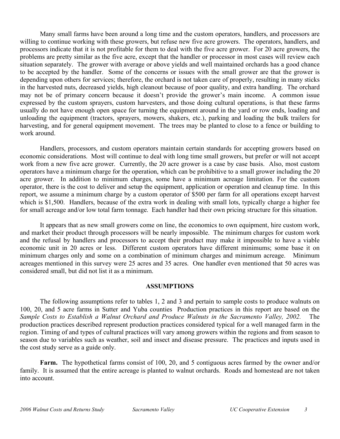Many small farms have been around a long time and the custom operators, handlers, and processors are willing to continue working with these growers, but refuse new five acre growers. The operators, handlers, and processors indicate that it is not profitable for them to deal with the five acre grower. For 20 acre growers, the problems are pretty similar as the five acre, except that the handler or processor in most cases will review each situation separately. The grower with average or above yields and well maintained orchards has a good chance to be accepted by the handler. Some of the concerns or issues with the small grower are that the grower is depending upon others for services; therefore, the orchard is not taken care of properly, resulting in many sticks in the harvested nuts, decreased yields, high cleanout because of poor quality, and extra handling. The orchard may not be of primary concern because it doesn't provide the grower's main income. A common issue expressed by the custom sprayers, custom harvesters, and those doing cultural operations, is that these farms usually do not have enough open space for turning the equipment around in the yard or row ends, loading and unloading the equipment (tractors, sprayers, mowers, shakers, etc.), parking and loading the bulk trailers for harvesting, and for general equipment movement. The trees may be planted to close to a fence or building to work around.

Handlers, processors, and custom operators maintain certain standards for accepting growers based on economic considerations. Most will continue to deal with long time small growers, but prefer or will not accept work from a new five acre grower. Currently, the 20 acre grower is a case by case basis. Also, most custom operators have a minimum charge for the operation, which can be prohibitive to a small grower including the 20 acre grower. In addition to minimum charges, some have a minimum acreage limitation. For the custom operator, there is the cost to deliver and setup the equipment, application or operation and cleanup time. In this report, we assume a minimum charge by a custom operator of \$500 per farm for all operations except harvest which is \$1,500. Handlers, because of the extra work in dealing with small lots, typically charge a higher fee for small acreage and/or low total farm tonnage. Each handler had their own pricing structure for this situation.

It appears that as new small growers come on line, the economics to own equipment, hire custom work, and market their product through processors will be nearly impossible. The minimum charges for custom work and the refusal by handlers and processors to accept their product may make it impossible to have a viable economic unit in 20 acres or less. Different custom operators have different minimums; some base it on minimum charges only and some on a combination of minimum charges and minimum acreage. Minimum acreages mentioned in this survey were 25 acres and 35 acres. One handler even mentioned that 50 acres was considered small, but did not list it as a minimum.

# **ASSUMPTIONS**

The following assumptions refer to tables 1, 2 and 3 and pertain to sample costs to produce walnuts on 100, 20, and 5 acre farms in Sutter and Yuba counties Production practices in this report are based on the *Sample Costs to Establish a Walnut Orchard and Produce Walnuts in the Sacramento Valley, 2002.* The production practices described represent production practices considered typical for a well managed farm in the region. Timing of and types of cultural practices will vary among growers within the regions and from season to season due to variables such as weather, soil and insect and disease pressure. The practices and inputs used in the cost study serve as a guide only.

**Farm.** The hypothetical farms consist of 100, 20, and 5 contiguous acres farmed by the owner and/or family. It is assumed that the entire acreage is planted to walnut orchards. Roads and homestead are not taken into account.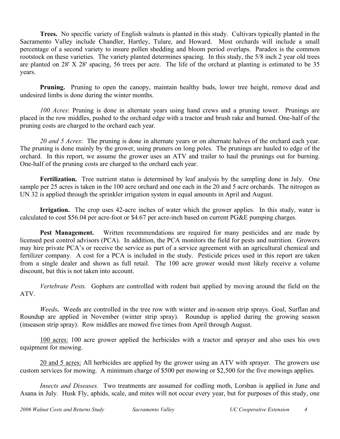**Trees.** No specific variety of English walnuts is planted in this study. Cultivars typically planted in the Sacramento Valley include Chandler, Hartley, Tulare, and Howard. Most orchards will include a small percentage of a second variety to insure pollen shedding and bloom period overlaps. Paradox is the common rootstock on these varieties. The variety planted determines spacing. In this study, the 5/8 inch 2 year old trees are planted on 28' X 28' spacing, 56 trees per acre. The life of the orchard at planting is estimated to be 35 years.

**Pruning.** Pruning to open the canopy, maintain healthy buds, lower tree height, remove dead and undesired limbs is done during the winter months.

*100 Acres*: Pruning is done in alternate years using hand crews and a pruning tower. Prunings are placed in the row middles, pushed to the orchard edge with a tractor and brush rake and burned. One-half of the pruning costs are charged to the orchard each year.

*20 and 5 Acres*: The pruning is done in alternate years or on alternate halves of the orchard each year. The pruning is done mainly by the grower, using pruners on long poles. The prunings are hauled to edge of the orchard. In this report, we assume the grower uses an ATV and trailer to haul the prunings out for burning. One-half of the pruning costs are charged to the orchard each year.

**Fertilization.** Tree nutrient status is determined by leaf analysis by the sampling done in July. One sample per 25 acres is taken in the 100 acre orchard and one each in the 20 and 5 acre orchards. The nitrogen as UN 32 is applied through the sprinkler irrigation system in equal amounts in April and August.

**Irrigation.** The crop uses 42-acre inches of water which the grower applies. In this study, water is calculated to cost \$56.04 per acre-foot or \$4.67 per acre-inch based on current PG&E pumping charges.

**Pest Management.** Written recommendations are required for many pesticides and are made by licensed pest control advisors (PCA). In addition, the PCA monitors the field for pests and nutrition. Growers may hire private PCA's or receive the service as part of a service agreement with an agricultural chemical and fertilizer company. A cost for a PCA is included in the study. Pesticide prices used in this report are taken from a single dealer and shown as full retail. The 100 acre grower would most likely receive a volume discount, but this is not taken into account.

*Vertebrate Pests.* Gophers are controlled with rodent bait applied by moving around the field on the ATV.

*Weeds***.** Weeds are controlled in the tree row with winter and in-season strip sprays. Goal, Surflan and Roundup are applied in November (winter strip spray). Roundup is applied during the growing season (inseason strip spray). Row middles are mowed five times from April through August.

100 acres: 100 acre grower applied the herbicides with a tractor and sprayer and also uses his own equipment for mowing.

20 and 5 acres: All herbicides are applied by the grower using an ATV with sprayer. The growers use custom services for mowing. A minimum charge of \$500 per mowing or \$2,500 for the five mowings applies.

*Insects and Diseases.* Two treatments are assumed for codling moth, Lorsban is applied in June and Asana in July. Husk Fly, aphids, scale, and mites will not occur every year, but for purposes of this study, one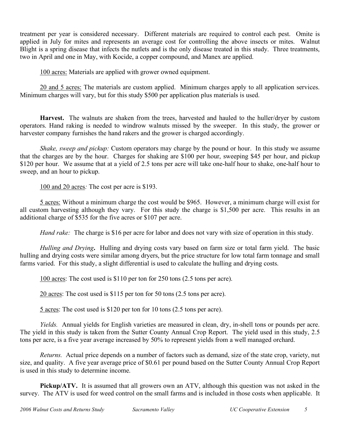treatment per year is considered necessary. Different materials are required to control each pest. Omite is applied in July for mites and represents an average cost for controlling the above insects or mites. Walnut Blight is a spring disease that infects the nutlets and is the only disease treated in this study. Three treatments, two in April and one in May, with Kocide, a copper compound, and Manex are applied.

100 acres: Materials are applied with grower owned equipment.

20 and 5 acres: The materials are custom applied. Minimum charges apply to all application services. Minimum charges will vary, but for this study \$500 per application plus materials is used.

**Harvest.** The walnuts are shaken from the trees, harvested and hauled to the huller/dryer by custom operators. Hand raking is needed to windrow walnuts missed by the sweeper. In this study, the grower or harvester company furnishes the hand rakers and the grower is charged accordingly.

*Shake, sweep and pickup:* Custom operators may charge by the pound or hour. In this study we assume that the charges are by the hour. Charges for shaking are \$100 per hour, sweeping \$45 per hour, and pickup \$120 per hour. We assume that at a yield of 2.5 tons per acre will take one-half hour to shake, one-half hour to sweep, and an hour to pickup.

100 and 20 acres*:* The cost per acre is \$193.

5 acres: Without a minimum charge the cost would be \$965. However, a minimum charge will exist for all custom harvesting although they vary. For this study the charge is \$1,500 per acre. This results in an additional charge of \$535 for the five acres or \$107 per acre.

*Hand rake:* The charge is \$16 per acre for labor and does not vary with size of operation in this study.

*Hulling and Drying***.** Hulling and drying costs vary based on farm size or total farm yield. The basic hulling and drying costs were similar among dryers, but the price structure for low total farm tonnage and small farms varied. For this study, a slight differential is used to calculate the hulling and drying costs.

100 acres: The cost used is \$110 per ton for 250 tons (2.5 tons per acre).

20 acres: The cost used is \$115 per ton for 50 tons (2.5 tons per acre).

5 acres: The cost used is \$120 per ton for 10 tons (2.5 tons per acre).

*Yields.* Annual yields for English varieties are measured in clean, dry, in-shell tons or pounds per acre. The yield in this study is taken from the Sutter County Annual Crop Report. The yield used in this study, 2.5 tons per acre, is a five year average increased by 50% to represent yields from a well managed orchard.

*Returns.* Actual price depends on a number of factors such as demand, size of the state crop, variety, nut size, and quality. A five year average price of \$0.61 per pound based on the Sutter County Annual Crop Report is used in this study to determine income.

**Pickup/ATV.** It is assumed that all growers own an ATV, although this question was not asked in the survey. The ATV is used for weed control on the small farms and is included in those costs when applicable. It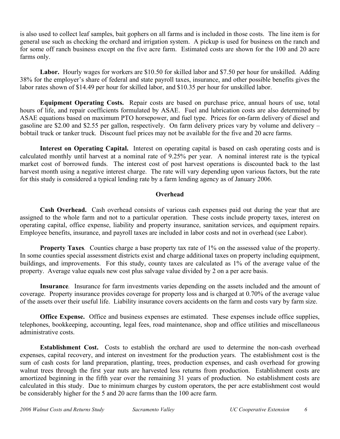is also used to collect leaf samples, bait gophers on all farms and is included in those costs. The line item is for general use such as checking the orchard and irrigation system. A pickup is used for business on the ranch and for some off ranch business except on the five acre farm. Estimated costs are shown for the 100 and 20 acre farms only.

**Labor.** Hourly wages for workers are \$10.50 for skilled labor and \$7.50 per hour for unskilled. Adding 38% for the employer's share of federal and state payroll taxes, insurance, and other possible benefits gives the labor rates shown of \$14.49 per hour for skilled labor, and \$10.35 per hour for unskilled labor.

**Equipment Operating Costs.** Repair costs are based on purchase price, annual hours of use, total hours of life, and repair coefficients formulated by ASAE. Fuel and lubrication costs are also determined by ASAE equations based on maximum PTO horsepower, and fuel type. Prices for on-farm delivery of diesel and gasoline are \$2.00 and \$2.55 per gallon, respectively. On farm delivery prices vary by volume and delivery – bobtail truck or tanker truck. Discount fuel prices may not be available for the five and 20 acre farms.

**Interest on Operating Capital.** Interest on operating capital is based on cash operating costs and is calculated monthly until harvest at a nominal rate of 9.25% per year. A nominal interest rate is the typical market cost of borrowed funds. The interest cost of post harvest operations is discounted back to the last harvest month using a negative interest charge. The rate will vary depending upon various factors, but the rate for this study is considered a typical lending rate by a farm lending agency as of January 2006.

### **Overhead**

**Cash Overhead.** Cash overhead consists of various cash expenses paid out during the year that are assigned to the whole farm and not to a particular operation. These costs include property taxes, interest on operating capital, office expense, liability and property insurance, sanitation services, and equipment repairs. Employee benefits, insurance, and payroll taxes are included in labor costs and not in overhead (see Labor).

**Property Taxes***.* Counties charge a base property tax rate of 1% on the assessed value of the property. In some counties special assessment districts exist and charge additional taxes on property including equipment, buildings, and improvements. For this study, county taxes are calculated as 1% of the average value of the property. Average value equals new cost plus salvage value divided by 2 on a per acre basis.

**Insurance***.* Insurance for farm investments varies depending on the assets included and the amount of coverage. Property insurance provides coverage for property loss and is charged at 0.70% of the average value of the assets over their useful life. Liability insurance covers accidents on the farm and costs vary by farm size.

**Office Expense.** Office and business expenses are estimated. These expenses include office supplies, telephones, bookkeeping, accounting, legal fees, road maintenance, shop and office utilities and miscellaneous administrative costs.

**Establishment Cost.** Costs to establish the orchard are used to determine the non-cash overhead expenses, capital recovery, and interest on investment for the production years. The establishment cost is the sum of cash costs for land preparation, planting, trees, production expenses, and cash overhead for growing walnut trees through the first year nuts are harvested less returns from production. Establishment costs are amortized beginning in the fifth year over the remaining 31 years of production. No establishment costs are calculated in this study. Due to minimum charges by custom operators, the per acre establishment cost would be considerably higher for the 5 and 20 acre farms than the 100 acre farm.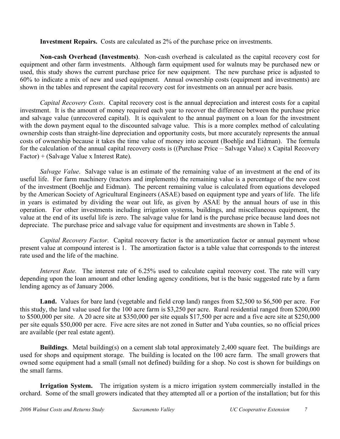**Investment Repairs.** Costs are calculated as 2% of the purchase price on investments.

**Non-cash Overhead (Investments)**. Non-cash overhead is calculated as the capital recovery cost for equipment and other farm investments. Although farm equipment used for walnuts may be purchased new or used, this study shows the current purchase price for new equipment. The new purchase price is adjusted to 60% to indicate a mix of new and used equipment. Annual ownership costs (equipment and investments) are shown in the tables and represent the capital recovery cost for investments on an annual per acre basis.

*Capital Recovery Costs*. Capital recovery cost is the annual depreciation and interest costs for a capital investment. It is the amount of money required each year to recover the difference between the purchase price and salvage value (unrecovered capital). It is equivalent to the annual payment on a loan for the investment with the down payment equal to the discounted salvage value. This is a more complex method of calculating ownership costs than straight-line depreciation and opportunity costs, but more accurately represents the annual costs of ownership because it takes the time value of money into account (Boehlje and Eidman). The formula for the calculation of the annual capital recovery costs is ((Purchase Price – Salvage Value) x Capital Recovery Factor) + (Salvage Value x Interest Rate).

*Salvage Value*. Salvage value is an estimate of the remaining value of an investment at the end of its useful life. For farm machinery (tractors and implements) the remaining value is a percentage of the new cost of the investment (Boehlje and Eidman). The percent remaining value is calculated from equations developed by the American Society of Agricultural Engineers (ASAE) based on equipment type and years of life. The life in years is estimated by dividing the wear out life, as given by ASAE by the annual hours of use in this operation. For other investments including irrigation systems, buildings, and miscellaneous equipment, the value at the end of its useful life is zero. The salvage value for land is the purchase price because land does not depreciate. The purchase price and salvage value for equipment and investments are shown in Table 5.

*Capital Recovery Factor*. Capital recovery factor is the amortization factor or annual payment whose present value at compound interest is 1. The amortization factor is a table value that corresponds to the interest rate used and the life of the machine.

*Interest Rate.* The interest rate of 6.25% used to calculate capital recovery cost. The rate will vary depending upon the loan amount and other lending agency conditions, but is the basic suggested rate by a farm lending agency as of January 2006.

**Land.** Values for bare land (vegetable and field crop land) ranges from \$2,500 to \$6,500 per acre. For this study, the land value used for the 100 acre farm is \$3,250 per acre. Rural residential ranged from \$200,000 to \$500,000 per site. A 20 acre site at \$350,000 per site equals \$17,500 per acre and a five acre site at \$250,000 per site equals \$50,000 per acre. Five acre sites are not zoned in Sutter and Yuba counties, so no official prices are available (per real estate agent).

**Buildings**. Metal building(s) on a cement slab total approximately 2,400 square feet. The buildings are used for shops and equipment storage. The building is located on the 100 acre farm. The small growers that owned some equipment had a small (small not defined) building for a shop. No cost is shown for buildings on the small farms.

**Irrigation System.** The irrigation system is a micro irrigation system commercially installed in the orchard. Some of the small growers indicated that they attempted all or a portion of the installation; but for this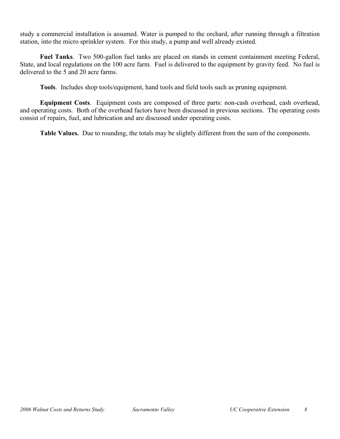study a commercial installation is assumed. Water is pumped to the orchard, after running through a filtration station, into the micro sprinkler system. For this study, a pump and well already existed.

**Fuel Tanks**. Two 500-gallon fuel tanks are placed on stands in cement containment meeting Federal, State, and local regulations on the 100 acre farm. Fuel is delivered to the equipment by gravity feed. No fuel is delivered to the 5 and 20 acre farms.

**Tools**. Includes shop tools/equipment, hand tools and field tools such as pruning equipment.

**Equipment Costs**. Equipment costs are composed of three parts: non-cash overhead, cash overhead, and operating costs. Both of the overhead factors have been discussed in previous sections. The operating costs consist of repairs, fuel, and lubrication and are discussed under operating costs.

**Table Values.** Due to rounding, the totals may be slightly different from the sum of the components.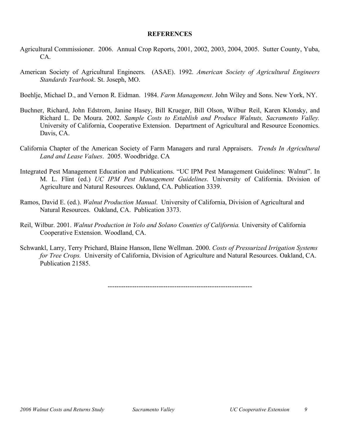### **REFERENCES**

- Agricultural Commissioner. 2006. Annual Crop Reports, 2001, 2002, 2003, 2004, 2005. Sutter County, Yuba, CA.
- American Society of Agricultural Engineers. (ASAE). 1992. *American Society of Agricultural Engineers Standards Yearbook*. St. Joseph, MO.

Boehlje, Michael D., and Vernon R. Eidman. 1984. *Farm Management*. John Wiley and Sons. New York, NY.

- Buchner, Richard, John Edstrom, Janine Hasey, Bill Krueger, Bill Olson, Wilbur Reil, Karen Klonsky, and Richard L. De Moura. 2002. *Sample Costs to Establish and Produce Walnuts, Sacramento Valley.* University of California, Cooperative Extension. Department of Agricultural and Resource Economics. Davis, CA.
- California Chapter of the American Society of Farm Managers and rural Appraisers. *Trends In Agricultural Land and Lease Values*. 2005. Woodbridge. CA
- Integrated Pest Management Education and Publications. "UC IPM Pest Management Guidelines: Walnut". In M. L. Flint (ed.) *UC IPM Pest Management Guidelines*. University of California. Division of Agriculture and Natural Resources. Oakland, CA. Publication 3339.
- Ramos, David E. (ed.). *Walnut Production Manual*. University of California, Division of Agricultural and Natural Resources. Oakland, CA. Publication 3373.
- Reil, Wilbur. 2001. *Walnut Production in Yolo and Solano Counties of California.* University of California Cooperative Extension. Woodland, CA.
- Schwankl, Larry, Terry Prichard, Blaine Hanson, Ilene Wellman. 2000. *Costs of Pressurized Irrigation Systems for Tree Crops.* University of California, Division of Agriculture and Natural Resources. Oakland, CA. Publication 21585.

-----------------------------------------------------------------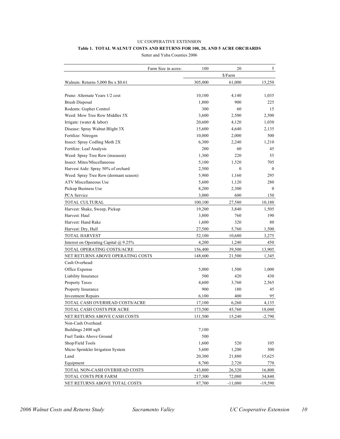# UC COOPERATIVE EXTENSION **Table 1. TOTAL WALNUT COSTS AND RETURNS FOR 100, 20, AND 5 ACRE ORCHARDS**

Sutter and Yuba Counties 2006

|                                        | Farm Size in acres: | 100     | 20        | 5            |
|----------------------------------------|---------------------|---------|-----------|--------------|
|                                        |                     |         | \$/Farm   |              |
| Walnuts: Returns $5,000$ lbs x $$0.61$ |                     | 305,000 | 61,000    | 15,250       |
|                                        |                     |         |           |              |
| Prune: Alternate Years 1/2 cost        |                     | 10,100  | 4,140     | 1,035        |
| <b>Brush Disposal</b>                  |                     | 1,800   | 900       | 225          |
| Rodents: Gopher Control                |                     | 300     | 60        | 15           |
| Weed: Mow Tree Row Middles 5X          |                     | 3,600   | 2,500     | 2,500        |
| Irrigate: (water $&$ labor)            |                     | 20,600  | 4,120     | 1,030        |
| Disease: Spray Walnut Blight 3X        |                     | 15,600  | 4,640     | 2,135        |
| Fertilize: Nitrogen                    |                     | 10,000  | 2,000     | 500          |
| Insect: Spray Codling Moth 2X          |                     | 6,300   | 2,240     | 1,210        |
| Fertilize: Leaf Analysis               |                     | 200     | 60        | 45           |
| Weed: Spray Tree Row (inseason)        |                     | 1,300   | 220       | 55           |
| Insect: Mites/Miscellaneous            |                     | 5,100   | 1,520     | 705          |
| Harvest Aide: Spray 50% of orchard     |                     | 2,500   | $\theta$  | $\mathbf{0}$ |
| Weed: Spray Tree Row (dormant season)  |                     | 5,900   | 1,160     | 295          |
| <b>ATV Miscellaneous Use</b>           |                     | 5,600   | 1,120     | 280          |
| Pickup Business Use                    |                     | 8,200   | 2,300     | $\mathbf{0}$ |
| PCA Service                            |                     | 3,000   | 600       | 150          |
| TOTAL CULTURAL                         |                     | 100,100 | 27,580    | 10,180       |
| Harvest: Shake, Sweep, Pickup          |                     | 19,200  | 3,840     | 1,505        |
| Harvest: Haul                          |                     | 3,800   | 760       | 190          |
| Harvest: Hand Rake                     |                     | 1,600   | 320       | 80           |
| Harvest: Dry, Hull                     |                     | 27,500  | 5,760     | 1,500        |
| <b>TOTAL HARVEST</b>                   |                     | 52,100  | 10,680    | 3,275        |
| Interest on Operating Capital @ 9.25%  |                     | 4,200   | 1,240     | 450          |
| TOTAL OPERATING COSTS/ACRE             |                     | 156,400 | 39,500    | 13,905       |
| NET RETURNS ABOVE OPERATING COSTS      |                     | 148,600 | 21,500    | 1,345        |
| Cash Overhead:                         |                     |         |           |              |
| Office Expense                         |                     | 5,000   | 1,500     | 1,000        |
| Liability Insurance                    |                     | 500     | 420       | 430          |
| Property Taxes                         |                     | 4,600   | 3,760     | 2,565        |
| Property Insurance                     |                     | 900     | 180       | 45           |
| <b>Investment Repairs</b>              |                     | 6,100   | 400       | 95           |
| TOTAL CASH OVERHEAD COSTS/ACRE         |                     | 17,100  | 6,260     | 4,135        |
| TOTAL CASH COSTS PER ACRE              |                     | 173,500 | 45,760    | 18,040       |
| NET RETURNS ABOVE CASH COSTS           |                     | 131,500 | 15,240    | $-2,790$     |
| Non-Cash Overhead:                     |                     |         |           |              |
| Buildings 2400 sqft                    |                     | 7,100   |           |              |
| Fuel Tanks Above Ground                |                     | 500     |           |              |
| Shop/Field Tools                       |                     | 1,600   | 520       | 105          |
| Micro Sprinkler Irrigation System      |                     | 5,600   | 1,200     | 300          |
| Land                                   |                     | 20,300  | 21,880    | 15,625       |
| Equipment                              |                     | 8,700   | 2,720     | 770          |
| TOTAL NON-CASH OVERHEAD COSTS          |                     | 43,800  | 26,320    | 16,800       |
| TOTAL COSTS PER FARM                   |                     | 217,300 | 72,080    | 34,840       |
| NET RETURNS ABOVE TOTAL COSTS          |                     | 87,700  | $-11,080$ | $-19,590$    |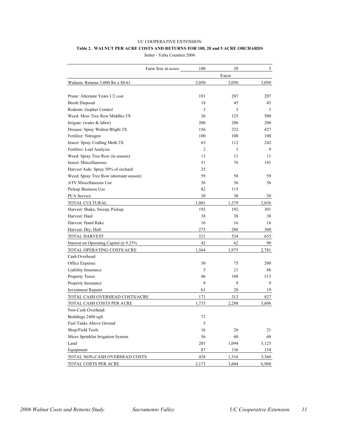# UC COOPERATIVE EXTENSION **Table 2. WALNUT PER ACRE COSTS AND RETURNS FOR 100, 20 and 5 ACRE ORCHARDS**

Sutter - Yuba Counties 2006

|                                       | Farm Size in acres: | 100   | 20      | 5     |
|---------------------------------------|---------------------|-------|---------|-------|
|                                       |                     |       | \$/acre |       |
| Walnuts: Returns 5,000 lbs x \$0.61   |                     | 3,050 | 3,050   | 3,050 |
|                                       |                     |       |         |       |
| Prune: Alternate Years 1/2 cost       |                     | 101   | 207     | 207   |
| <b>Brush Disposal</b>                 |                     | 18    | 45      | 45    |
| Rodents: Gopher Control               |                     | 3     | 3       | 3     |
| Weed: Mow Tree Row Middles 5X         |                     | 36    | 125     | 500   |
| Irrigate: (water $&$ labor)           |                     | 206   | 206     | 206   |
| Disease: Spray Walnut Blight 3X       |                     | 156   | 232     | 427   |
| Fertilize: Nitrogen                   |                     | 100   | 100     | 100   |
| Insect: Spray Codling Moth 2X         |                     | 63    | 112     | 242   |
| Fertilize: Leaf Analysis              |                     | 2     | 3       | 9     |
| Weed: Spray Tree Row (in season)      |                     | 13    | 11      | 11    |
| Insect: Miscellaneous                 |                     | 51    | 76      | 141   |
| Harvest Aide: Spray 50% of orchard    |                     | 25    |         |       |
| Weed: Spray Tree Row (dormant season) |                     | 59    | 58      | 59    |
| <b>ATV Miscellaneous Use</b>          |                     | 56    | 56      | 56    |
| Pickup Business Use                   |                     | 82    | 115     |       |
| PCA Service                           |                     | 30    | 30      | 30    |
| <b>TOTAL CULTURAL</b>                 |                     | 1,001 | 1,379   | 2,036 |
| Harvest: Shake, Sweep, Pickup         |                     | 192   | 192     | 301   |
| Harvest: Haul                         |                     | 38    | 38      | 38    |
| Harvest: Hand Rake                    |                     | 16    | 16      | 16    |
| Harvest: Dry, Hull                    |                     | 275   | 288     | 300   |
| <b>TOTAL HARVEST</b>                  |                     | 521   | 534     | 655   |
| Interest on Operating Capital @ 9.25% |                     | 42    | 62      | 90    |
| TOTAL OPERATING COSTS/ACRE            |                     | 1,564 | 1,975   | 2,781 |
| Cash Overhead:                        |                     |       |         |       |
| Office Expense                        |                     | 50    | 75      | 200   |
| Liability Insurance                   |                     | 5     | 21      | 86    |
| Property Taxes                        |                     | 46    | 188     | 513   |
| Property Insurance                    |                     | 9     | 9       | 9     |
| <b>Investment Repairs</b>             |                     | 61    | 20      | 19    |
| TOTAL CASH OVERHEAD COSTS/ACRE        |                     | 171   | 313     | 827   |
| TOTAL CASH COSTS PER ACRE             |                     | 1,735 | 2,288   | 3,608 |
| Non-Cash Overhead:                    |                     |       |         |       |
| Buildings 2400 sqft                   |                     | 71    |         |       |
| Fuel Tanks Above Ground               |                     | 5     |         |       |
| Shop/Field Tools                      |                     | 16    | 26      | 21    |
| Micro Sprinkler Irrigation System     |                     | 56    | 60      | 60    |
| Land                                  |                     | 203   | 1,094   | 3,125 |
| Equipment                             |                     | 87    | 136     | 154   |
| TOTAL NON-CASH OVERHEAD COSTS         |                     | 438   | 1,316   | 3,360 |
| TOTAL COSTS PER ACRE                  |                     | 2,173 | 3,604   | 6,968 |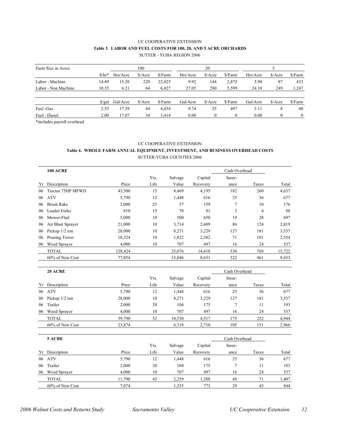#### UC COOPERATIVE EXTENSION **Table 3. LABOR AND FUEL COSTS FOR 100, 20, AND 5 ACRE ORCHARDS** SUTTER - YUBA REGION 2006

| Farm Size in Acres  |                      | 100      |         |         | 20       |                             |          |          |                             |          |
|---------------------|----------------------|----------|---------|---------|----------|-----------------------------|----------|----------|-----------------------------|----------|
|                     | $$/hr*$              | Hrs/Acre | \$/Acre | \$/Farm | Hrs/Acre | \$/Acre                     | \$/Farm  | Hrs/Acre | \$/Acre                     | \$/Farm  |
| Labor - Machine     | 14.49                | 15.20    | 220     | 22,025  | 9.92     | 144                         | 2,875    | 5.98     | 87                          | 433      |
| Labor - Non Machine | 10.35                | 6.21     | 64      | 6.427   | 27.05    | 280                         | 5,599    | 24.10    | 249                         | 1,247    |
|                     | $\frac{\sqrt{2}}{2}$ | Gal/Acre | \$/Acre | \$/Farm | Gal/Acre | $\frac{\text{A}}{\text{A}}$ | \$/Farm  | Gal/Acre | $\frac{\text{A}}{\text{A}}$ | \$/Farm  |
| Fuel -Gas           | 2.55                 | 17.39    | 44      | 4.434   | 9.74     | 25                          | 497      | 3.11     | 8                           | 40       |
| Fuel - Diesel       | 2.00                 | 17.07    | 34      | 3.414   | 0.00     | $\theta$                    | $\theta$ | 0.00     | $\theta$                    | $\theta$ |

\*includes payroll overhead

#### UC COOPERATIVE EXTENSION

#### **Table 4. WHOLE FARM ANNUAL EQUIPMENT, INVESTMENT, AND BUSINESS OVERHEAD COSTS** SUTTER-YUBA COUNTIES 2006

|    | <b>100 ACRE</b>   |         |      |         |          | Cash Overhead |                |        |
|----|-------------------|---------|------|---------|----------|---------------|----------------|--------|
|    |                   |         | Yrs. | Salvage | Capital  | Insur-        |                |        |
| Yr | Description       | Price   | Life | Value   | Recovery | ance          | Taxes          | Total  |
| 06 | Tractor 75HP MFWD | 43,500  | 15   | 8,469   | 4,195    | 182           | 260            | 4,637  |
| 06 | <b>ATV</b>        | 5,790   | 12   | 1,448   | 616      | 25            | 36             | 677    |
| 06 | Brush Rake        | 2,000   | 25   | 57      | 159      | 7             | 10             | 176    |
| 06 | Loader Forks      | 810     | 15   | 78      | 81       | 3             | $\overline{4}$ | 88     |
| 06 | Mower-Flail       | 5,000   | 10   | 500     | 650      | 19            | 28             | 697    |
| 06 | Air Blast Sprayer | 21,000  | 10   | 3,714   | 2,609    | 86            | 124            | 2,819  |
| 06 | Pickup $1/2$ ton  | 28,000  | 10   | 8,271   | 3,229    | 127           | 181            | 3,537  |
| 06 | Pruning Tower     | 18,324  | 10   | 1,832   | 2,382    | 71            | 101            | 2,554  |
| 06 | Weed Sprayer      | 4,000   | 10   | 707     | 497      | 16            | 24             | 537    |
|    | <b>TOTAL</b>      | 128,424 |      | 25,076  | 14,418   | 536           | 768            | 15,722 |
|    | 60% of New Cost   | 77,054  |      | 15,046  | 8,651    | 322           | 461            | 9,433  |

|    | <b>20 ACRE</b>   |        |      | Cash Overhead |          |        |       |       |
|----|------------------|--------|------|---------------|----------|--------|-------|-------|
|    |                  |        | Yrs. | Salvage       | Capital  | Insur- |       |       |
|    | Yr Description   | Price  | Life | Value         | Recovery | ance   | Taxes | Total |
| 06 | <b>ATV</b>       | 5,790  | 12   | 1,448         | 616      | 25     | 36    | 677   |
| 06 | Pickup $1/2$ ton | 28,000 | 10   | 8,271         | 3,229    | 127    | 181   | 3,537 |
| 06 | Trailer          | 2,000  | 20   | 104           | 175      |        | 11    | 193   |
| 06 | Weed Sprayer     | 4,000  | 10   | 707           | 497      | 16     | 24    | 537   |
|    | <b>TOTAL</b>     | 39,790 | 52   | 10,530        | 4,517    | 175    | 252   | 4,944 |
|    | 60% of New Cost  | 23.874 |      | 6,318         | 2,710    | 105    | 151   | 2,966 |

|    | 5 ACRE          |        |      |         |          | Cash Overhead |       |       |
|----|-----------------|--------|------|---------|----------|---------------|-------|-------|
|    |                 |        | Yrs. | Salvage | Capital  | Insur-        |       |       |
| Yr | Description     | Price  | Life | Value   | Recovery | ance          | Taxes | Total |
| 06 | <b>ATV</b>      | 5,790  | 12   | 1,448   | 616      | 25            | 36    | 677   |
| 06 | Trailer         | 2,000  | 20   | 104     | 175      |               | 11    | 193   |
| 06 | Weed Sprayer    | 4,000  | 10   | 707     | 497      | 16            | 24    | 537   |
|    | <b>TOTAL</b>    | 11.790 | 42   | 2,259   | .288     | 48            |       | 1,407 |
|    | 60% of New Cost | 7.074  |      | 1,355   | 773      | 29            | 43    | 844   |